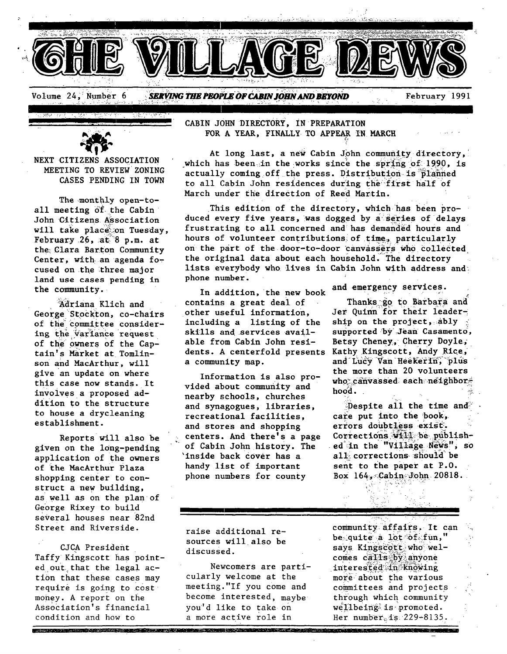

**NEXT** CITIZENS ASSOCIATION MEETING TO REVIEW ZONING CASES PENDING IN TOWN

The monthly open-toall meeting of the Cabin John Citizens Association will take place on Tuesday, February 26,  $a\tilde{t}$ <sup>8</sup> p.m. at the Clara Banton Community Center, with an agenda focused on the three major land use cases pending in the community.

Adriana Klich and George Stockton, co-chairs of the committee considering the variance request of the owners of the Caprain's MArket at Tomlinson and MacArthur, will give an update on where this case now stands. It involves a proposed addition to the structure to house a drycleaning establishment.

Reports will also be given on the long-pending application of the owners of the MacArthur Plaza shopping center to construct a new building, as well as on the plan of George Rixey to build several houses near 82nd Street and Riverside.

CJCA President Taffy Kingscott has pointed out that the legal action that these cases may require is going to cost money. A report on the Association's financial condition and how to

<u> La Carta de Santa de Carta de Carta de Carta de Carta de Carta de Carta de Carta de Carta de Carta de Carta d</u>

CABIN JOHN DIRECTORY, IN PREPARATION FOR A YEAR, FINALLY TO APPEAR IN MARCH

At long last, a new Cabin John community directory, which has been in the works since the spring of 1990, is actually coming off the press. Distribution is planned to all Cabin John residences during the first half of March under the direction of Reed Martin.

This edition of the directory, which has been produced every five years, was dogged by a series of delays frustrating to all concerned and has demanded hours and hours of volunteer contributions of time, particularly on the part of *the door-to-door* 'canvassers who collected the original data about each household. The directory lists everybody who lives in Cabin John with address and: phone number.

In addition, the new book contains a great deal of other useful information, including a listing of the skills and.services available from Cabin John residents. A centerfold presents Kathy Kingscott, Andy Rice, a community map. and Lucy Van Heekerin, plus

Information is also provided about community and nearby schools, churches and synagogues, libraries, recreational facilities, and stores and shopping centers. And there's a page of Cabin John history. The 'inside back COver has a handy list of important phone numbers for county

raise additional resources willalso be discussed.

Newcomers are particularly welcome at the meeting."If you come and become interested, maybe you'd like to take on a more active role in

and emergency services.

Thanks go to Barbara and Jer Ouinn for their leadership on the project,  $ably$ supported by Jean Casamento, Betsy Cheney, Cherry Doyle, the more than 20 volunteers who canvassed each neighbor hood.

Despite all the time and  $^{\circ}$ care put into the book, errors doubtless exist. Corrections will be published in the "Village News", so all corrections should be sent to the paper at P.O. Box  $164$ ,  $\mathcal{C}abin$  John. 20818.

,.>-.%... . f.. , .:~ - \_,

community affairs. It can be quite a lot-of fun," says Kingscott who welcomes calls by anyone interested in knowing more about the various committees and projects through which community  $we'll be ing? is promoted.$ Her number  $1s$  229-8135.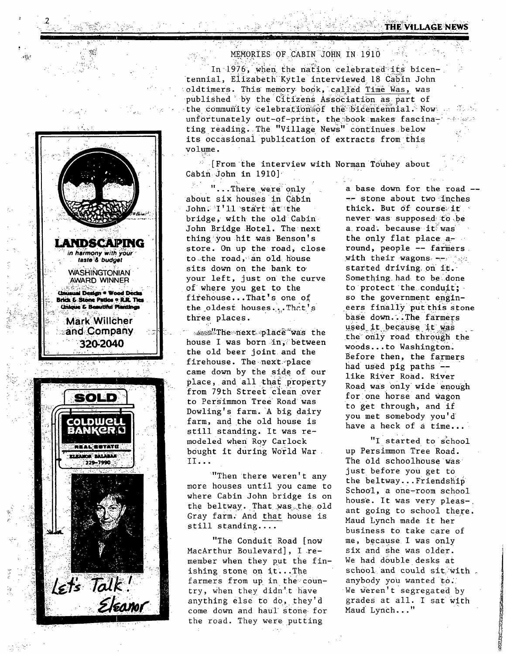



## MEMORIES OF CABIN JOHN IN 1910

In 1976, when the nation celebrated its bicentennial, Elizabeth Kytle interviewed 18 Cabin John oldtimers. This memory book, called Time Was, was published by the Citizens Association as part of the community celebration of the bicentennial. Now unfortunately out-of-print, the book makes fascinatest is ting reading. The "Village News" continues below its occasional publication of extracts from this volume.

[From the interview with Norman Touhey about Cabin John in 1910]

"... There were only about six houses in Cabin John: I'll start at the bridge, with the old Cabin John Bridge Hotel. The next thing you hit was Benson's store. On up the road, close to the road, an old house sits down on the bank to your left, just on the curve of where you get to the firehouse...That's one of the oldest houses...That's three places.

sess"The next place was the house I was born in, between the old beer joint and the firehouse. The next place came down by the side of our place, and all that property from 79th Street clean over to Persimmon Tree Road was Dowling's farm. A big dairy farm, and the old house is still standing. It was remodeled when Roy Carlock bought it during World War.  $II...$ 

"Then there weren't any more houses until you came to where Cabin John bridge is on the beltway. That was the old Gray farm. And that house is  $still$  standing....

"The Conduit Road (now MacArthur Boulevard], I remember when they put the finishing stone on it...The farmers from up in the country, when they didn't have anything else to do, they'd come down and haul stone for the road. They were putting

a base down for the road ---- stone about two inches thick. But of course it never was supposed to be a road. because it was the only flat place around, people -- farmers. with their wagons -- Says started driving on it. Something had to be done to protect the conduit; so the government engineers finally put this stone base down...The farmers used it because it was the only road through the woods...to Washington. Before then, the farmers had used pig paths -like River Road. River Road was only wide enough for one horse and wagon to get through, and if you met somebody you'd have a heck of a time...

"I started to school up Persimmon Tree Road. The old schoolhouse was just before you get to the beltway...Friendship School, a one-room school house. It was very pleas-. ant going to school there. Maud Lynch made it her business to take care of me, because I was only six and she was older. We had double desks at school and could sit with. anybody you wanted to. We weren't segregated by grades at all. I sat with Maud Lynch..."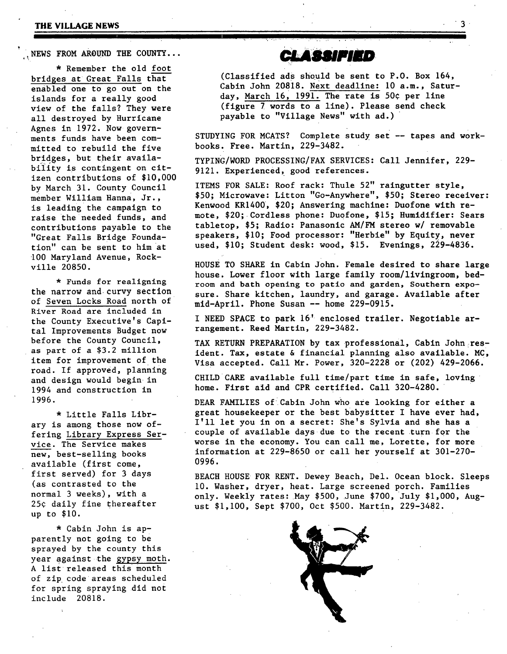## **THE VILLAGE NEWS 3**

NEWS FROM AROUND THE COUNTY...

\* Remember the old foot bridges at Great Falls that enabled one to go out on the islands for a really good view of the falls? They were all destroyed by Hurricane Agnes in 1972. Now governments funds have been committed to rebuild the five bridges, but their availability is contingent on citizen contributions of \$I0,000 by March 31. County Council member William Hanna, Jr., is leading the campaign to raise the needed funds, and contributions payable to the "Great Falls Bridge Foundation" can be sent to him at i00 Maryland Avenue, Rockville 20850.

\* Funds for realigning the narrow and curvy section of Seven Locks Road north of ' River Road are included in the County Executive's Capital Improvements Budget now before the County Council, as part of a \$3.2 million item for improvement of the road. If approved, planning and design would begin in 1994 and construction in 1996.

\* Little Falls Library is among those now offering Library Express Service. The Service makes new, best-selling books available (first come, first served) for 3 days (as contrasted to the normal 3 weeks), with a 25¢ daily fine thereafter up to \$I0.

\* Cabin John is apparently not going to be sprayed by the county this year against the gypsy moth. A list released this month of zip code areas scheduled for spring spraying did not include 20818.

**CLASSIFIED** 

(Classified ads should be sent to P.O. Box 164, Cabin John 20818. Next deadline: i0 a.m., Saturday, March 16, 1991. The rate is 50¢ per line (figure 7 words to a line). Please send check payable to "Village News" with ad.)

STUDYING FOR MCATS? Complete study set -- tapes and workbooks. Free. Martin, 229-3482.

TYPING/WORD PROCESSING/FAX SERVICES: Call Jennifer, 229- 9121. Experienced, good references.

ITEMS FOR SALE: Roof rack: Thule 52" raingutter style, \$50; Microwave: Litton "Go-Anywhere", \$50; Stereo receiver: Kenwood KR1400, \$20; Answering machine: Duofone with remote, \$20; Cordless phone: Duofone, \$15; Humidifier: Sears tabletop, \$5; Radio: Panasonic AM/FM stereo w/ removable speakers, \$I0; Food processor: "Herble" by Equity, never used, \$10; Student desk: wood, \$15. Evenings, 229-4836.

House TO SHARE in Cabin John. Female desired to share large house. Lower floor with large family *room/llvingroom,* bedroom and bath opening to patio and garden, Southern exposure. Share kitchen, laundry, and garage. Available after mld-April. Phone Susan -- home 229-0915.

I NEED SPACE to park 16' enclosed trailer. Negotiable arrangement. Reed Martin, 229-3482.

TAX RETURN PREPARATION by tax professional, Cabin John resident. Tax, estate & financial planning also available. MC, Visa accepted. Call Mr. Power, 320-2228 or (202) 429-2066.

CHILD CARE available full time/part time in safe, loving ' home. First aid and CPR certified. Call 320-4280.

DEAR FAMILIES of Cabin John who are looking for either a great housekeeper or the best babysitter I have ever had, I'll let you in on a secret: She's Sylvia and she has a couple of available days due to the recent turn for the worse in the economy. You can call me, Lorette, for more information at 229-8650 or call her yourself at 301-270- 0996.

BEACH HOUSE FOR RENT. Dewey Beach, Del. Ocean block. Sleeps i0. Washer, dryer, heat. Large screened porch. Families only. Weekly rates: May \$500, June \$700, July \$i,000, August \$I,i00, Sept \$700, Oct \$500. Martin, 229-3482.

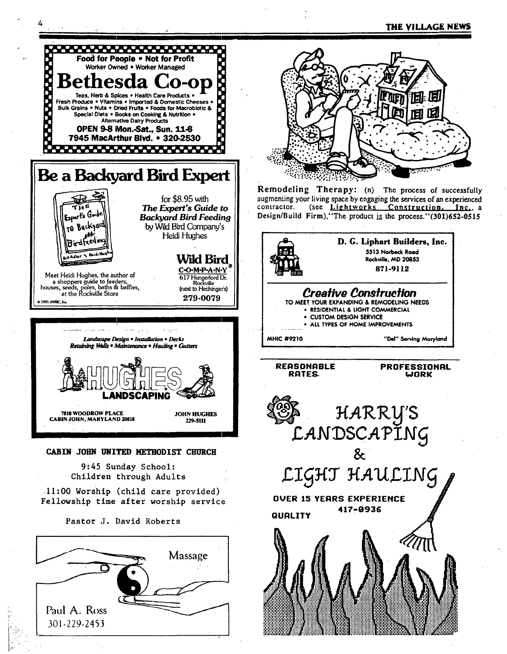

Paul A. Ross 301-229-2453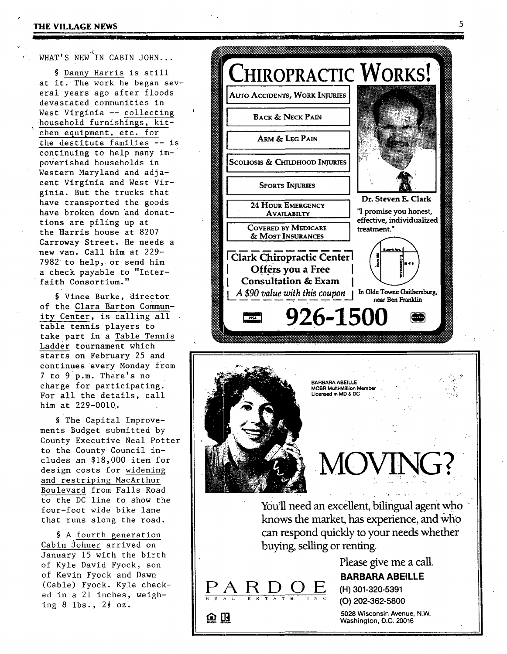## $\mathcal{L}$ WHAT'S NEW IN CABIN JOHN...

**I I** 

§ Danny Harris is still at it. The work he began several years ago after floods devastated communities in West Virginia -- collecting household furnishings, kit chen equipment, etc. for the destitute families -- is continuing to help many impoverished households in Western Maryland and adjacent Virginia and West Virginia. But the trucks that have transported the goods have broken down and donattions are piling up at the Harris house at 8207 Carroway Street. He needs a new van. Call him at 229- 7982 to help, or send him a check payable to "Interfaith Consortium."

§ Vince Burke, director of the Clara Barton Community Center, is calling all table tennis players to take part in a Table Tennis Ladder tournament which starts on February 25 and continues every Monday from 7 to 9 p.m. There's no charge for participating. For all the details, call him at 229-0010.

§The Capital Improvements Budget submitted by County Executive Neal Potter to the County Council includes an \$18,000 item for design costs for widening and restriping MacArthur Boulevard from Falls Road to the DC line to show the four-foot wide bike lane that runs along the road.

§ A fourth generation Cabin Johner arrived on January 15 with the birth of Kyle David Fyock, son of Kevin Fyock and Dawn (Cable) Fyock. Kyle checked in a 21 inches, weighing 8 lbs.,  $2\frac{1}{2}$  oz.



**i i m I 111 Iill '** 



can respond quickly to your needs whether buying, selling or renting.

> Please give me a call. **BARBARA ABEILLE**

**D 0 E (H) 301-320-5391 ' ~ ':** (O) 202-362-5800 E ~ 3" .~ T E

<u>P A</u>

o R

5028 **Wisconsin Avenue,** N.W. **Washington,** D.C. 20016